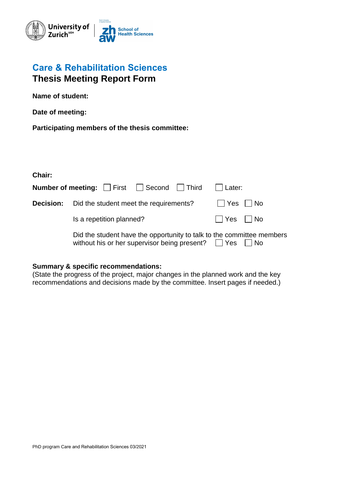

## **Care & Rehabilitation Sciences Thesis Meeting Report Form**

**Name of student:** 

**Date of meeting:** 

**Participating members of the thesis committee:** 

**Chair:**

|                  | <b>Number of meeting:</b>     First     Second     Third                                                                                   | Later:   |  |
|------------------|--------------------------------------------------------------------------------------------------------------------------------------------|----------|--|
| <b>Decision:</b> | Did the student meet the requirements?                                                                                                     | Yes   No |  |
|                  | Is a repetition planned?                                                                                                                   | Nes No   |  |
|                  | Did the student have the opportunity to talk to the committee members<br>without his or her supervisor being present? $\Box$ Yes $\Box$ No |          |  |

## **Summary & specific recommendations:**

(State the progress of the project, major changes in the planned work and the key recommendations and decisions made by the committee. Insert pages if needed.)